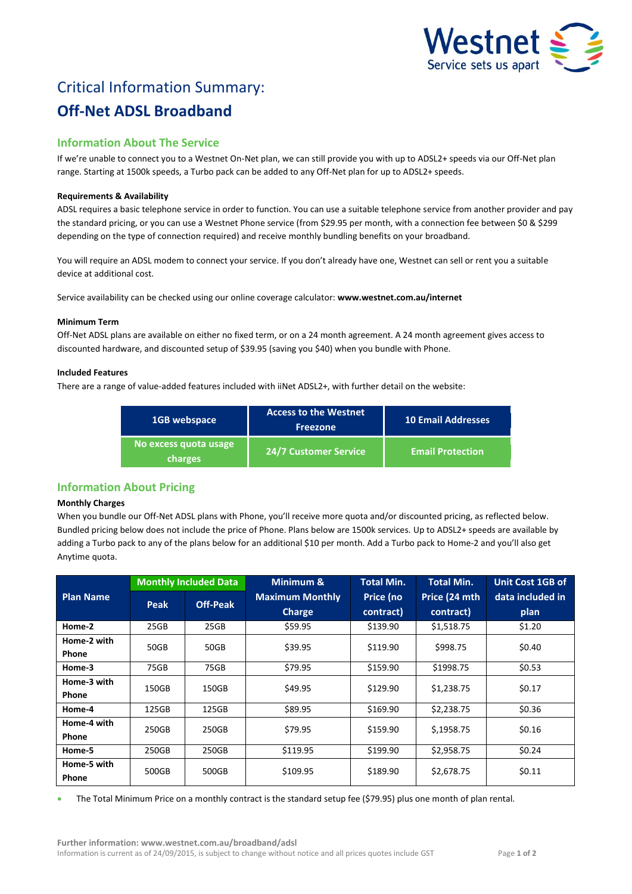

# Critical Information Summary: **Off-Net ADSL Broadband**

# **Information About The Service**

If we're unable to connect you to a Westnet On-Net plan, we can still provide you with up to ADSL2+ speeds via our Off-Net plan range. Starting at 1500k speeds, a Turbo pack can be added to any Off-Net plan for up to ADSL2+ speeds.

## **Requirements & Availability**

ADSL requires a basic telephone service in order to function. You can use a suitable telephone service from another provider and pay the standard pricing, or you can use a Westnet Phone service (from \$29.95 per month, with a connection fee between \$0 & \$299 depending on the type of connection required) and receive monthly bundling benefits on your broadband.

You will require an ADSL modem to connect your service. If you don't already have one, Westnet can sell or rent you a suitable device at additional cost.

Service availability can be checked using our online coverage calculator: **www.westnet.com.au/internet**

#### **Minimum Term**

Off-Net ADSL plans are available on either no fixed term, or on a 24 month agreement. A 24 month agreement gives access to discounted hardware, and discounted setup of \$39.95 (saving you \$40) when you bundle with Phone.

#### **Included Features**

There are a range of value-added features included with iiNet ADSL2+, with further detail on the website:

| 1GB webspace                            | <b>Access to the Westnet</b><br><b>Freezone</b> | 10 Email Addresses      |  |
|-----------------------------------------|-------------------------------------------------|-------------------------|--|
| No excess quota usage<br><b>charges</b> | <b>24/7 Customer Service</b>                    | <b>Email Protection</b> |  |

# **Information About Pricing**

#### **Monthly Charges**

When you bundle our Off-Net ADSL plans with Phone, you'll receive more quota and/or discounted pricing, as reflected below. Bundled pricing below does not include the price of Phone. Plans below are 1500k services. Up to ADSL2+ speeds are available by adding a Turbo pack to any of the plans below for an additional \$10 per month. Add a Turbo pack to Home-2 and you'll also get Anytime quota.

|                  | <b>Monthly Included Data</b> |                 | Minimum &              | <b>Total Min.</b> | <b>Total Min.</b> | <b>Unit Cost 1GB of</b> |
|------------------|------------------------------|-----------------|------------------------|-------------------|-------------------|-------------------------|
| <b>Plan Name</b> | Peak                         | <b>Off-Peak</b> | <b>Maximum Monthly</b> | Price (no         | Price (24 mth     | data included in        |
|                  |                              |                 | <b>Charge</b>          | contract)         | contract)         | plan                    |
| Home-2           | 25GB                         | 25GB            | \$59.95                | \$139.90          | \$1,518.75        | \$1.20                  |
| Home-2 with      | 50GB                         | 50GB            | \$39.95                | \$119.90          | \$998.75          | \$0.40                  |
| <b>Phone</b>     |                              |                 |                        |                   |                   |                         |
| Home-3           | 75GB                         | 75GB            | \$79.95                | \$159.90          | \$1998.75         | \$0.53                  |
| Home-3 with      | 150GB                        | 150GB           | \$49.95                | \$129.90          | \$1,238.75        | \$0.17                  |
| <b>Phone</b>     |                              |                 |                        |                   |                   |                         |
| Home-4           | 125GB                        | 125GB           | \$89.95                | \$169.90          | \$2,238.75        | \$0.36                  |
| Home-4 with      | 250GB                        | 250GB           | \$79.95                | \$159.90          | \$,1958.75        | \$0.16                  |
| <b>Phone</b>     |                              |                 |                        |                   |                   |                         |
| Home-5           | 250GB                        | 250GB           | \$119.95               | \$199.90          | \$2,958.75        | \$0.24                  |
| Home-5 with      | 500GB                        | 500GB           | \$109.95               | \$189.90          | \$2,678.75        | \$0.11                  |
| Phone            |                              |                 |                        |                   |                   |                         |

The Total Minimum Price on a monthly contract is the standard setup fee (\$79.95) plus one month of plan rental.